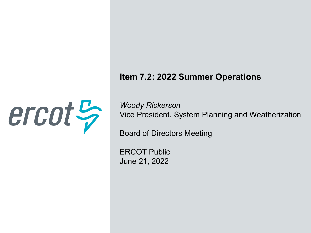#### **Item 7.2: 2022 Summer Operations**



*Woody Rickerson* Vice President, System Planning and Weatherization

Board of Directors Meeting

ERCOT Public June 21, 2022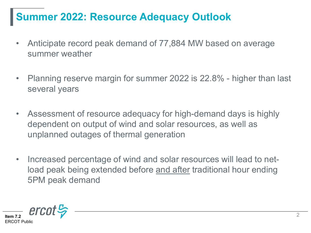### **Summer 2022: Resource Adequacy Outlook**

- Anticipate record peak demand of 77,884 MW based on average summer weather
- Planning reserve margin for summer 2022 is 22.8% higher than last several years
- Assessment of resource adequacy for high-demand days is highly dependent on output of wind and solar resources, as well as unplanned outages of thermal generation
- Increased percentage of wind and solar resources will lead to netload peak being extended before and after traditional hour ending 5PM peak demand

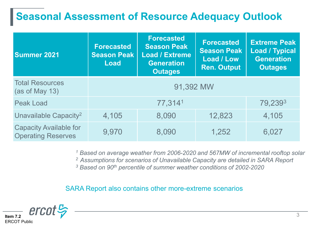### **Seasonal Assessment of Resource Adequacy Outlook**

| <b>Summer 2021</b>                                         | <b>Forecasted</b><br><b>Season Peak</b><br>Load | <b>Forecasted</b><br><b>Season Peak</b><br><b>Load / Extreme</b><br><b>Generation</b><br><b>Outages</b> | <b>Forecasted</b><br><b>Season Peak</b><br>Load / Low<br><b>Ren. Output</b> | <b>Extreme Peak</b><br><b>Load / Typical</b><br><b>Generation</b><br><b>Outages</b> |
|------------------------------------------------------------|-------------------------------------------------|---------------------------------------------------------------------------------------------------------|-----------------------------------------------------------------------------|-------------------------------------------------------------------------------------|
| <b>Total Resources</b><br>(as of May 13)                   | 91,392 MW                                       |                                                                                                         |                                                                             |                                                                                     |
| <b>Peak Load</b>                                           | 77,3141                                         |                                                                                                         |                                                                             | 79,2393                                                                             |
| Unavailable Capacity <sup>2</sup>                          | 4,105                                           | 8,090                                                                                                   | 12,823                                                                      | 4,105                                                                               |
| <b>Capacity Available for</b><br><b>Operating Reserves</b> | 9,970                                           | 8,090                                                                                                   | 1,252                                                                       | 6,027                                                                               |

*<sup>1</sup> Based on average weather from 2006-2020 and 567MW of incremental rooftop solar*

*2 Assumptions for scenarios of Unavailable Capacity are detailed in SARA Report* 

*<sup>3</sup> Based on 90th percentile of summer weather conditions of 2002-2020*

SARA Report also contains other more-extreme scenarios

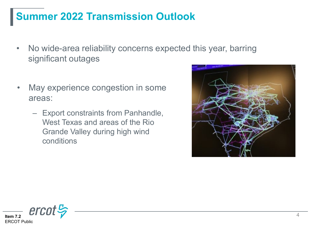### **Summer 2022 Transmission Outlook**

- No wide-area reliability concerns expected this year, barring significant outages
- May experience congestion in some areas:
	- Export constraints from Panhandle, West Texas and areas of the Rio Grande Valley during high wind conditions



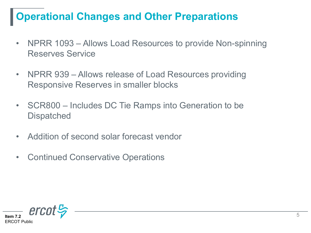## **Operational Changes and Other Preparations**

- NPRR 1093 Allows Load Resources to provide Non-spinning Reserves Service
- NPRR 939 Allows release of Load Resources providing Responsive Reserves in smaller blocks
- SCR800 Includes DC Tie Ramps into Generation to be **Dispatched**
- Addition of second solar forecast vendor
- Continued Conservative Operations